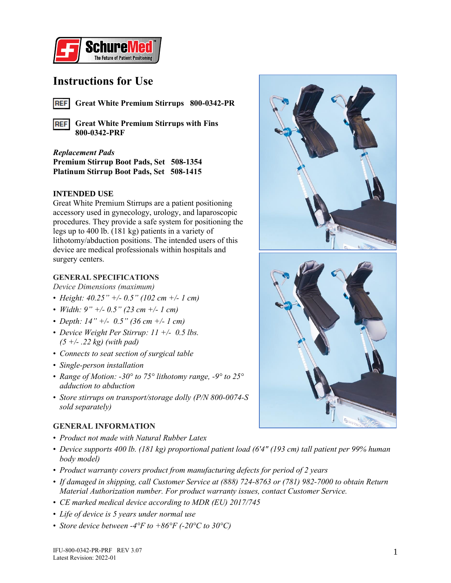

## **Instructions for Use**

**Great White Premium Stirrups 800-0342-PR REF** 

**Great White Premium Stirrups with Fins REF 800-0342-PRF**

### *Replacement Pads*

**Premium Stirrup Boot Pads, Set 508-1354 Platinum Stirrup Boot Pads, Set 508-1415**

#### **INTENDED USE**

Great White Premium Stirrups are a patient positioning accessory used in gynecology, urology, and laparoscopic procedures. They provide a safe system for positioning the legs up to 400 lb. (181 kg) patients in a variety of lithotomy/abduction positions. The intended users of this device are medical professionals within hospitals and surgery centers.

#### **GENERAL SPECIFICATIONS**

*Device Dimensions (maximum)*

- *Height: 40.25" +/- 0.5" (102 cm +/- 1 cm)*
- *Width: 9" +/- 0.5" (23 cm +/- 1 cm)*
- *Depth: 14" +/- 0.5" (36 cm +/- 1 cm)*
- *Device Weight Per Stirrup: 11 +/- 0.5 lbs. (5 +/- .22 kg) (with pad)*
- *Connects to seat section of surgical table*
- *Single-person installation*
- *Range of Motion: -30° to 75° lithotomy range, -9° to 25° adduction to abduction*
- *Store stirrups on transport/storage dolly (P/N 800-0074-S sold separately)*

#### **GENERAL INFORMATION**

- *Product not made with Natural Rubber Latex*
- *Device supports 400 lb. (181 kg) proportional patient load (6'4" (193 cm) tall patient per 99% human body model)*
- *Product warranty covers product from manufacturing defects for period of 2 years*
- *If damaged in shipping, call Customer Service at (888) 724-8763 or (781) 982-7000 to obtain Return Material Authorization number. For product warranty issues, contact Customer Service.*
- *CE marked medical device according to MDR (EU) 2017/745*
- *Life of device is 5 years under normal use*
- *Store device between -4°F to +86°F (-20°C to 30°C)*

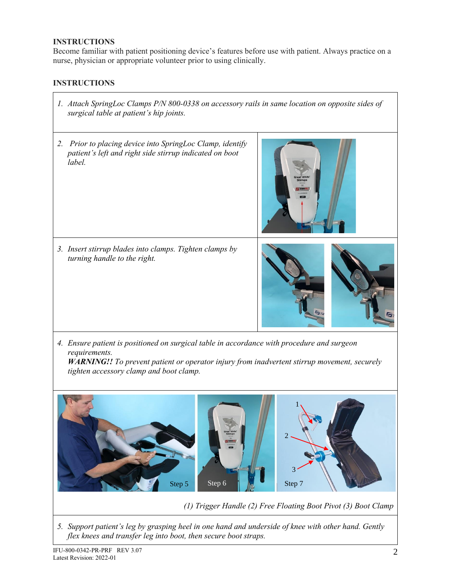#### **INSTRUCTIONS**

Become familiar with patient positioning device's features before use with patient. Always practice on a nurse, physician or appropriate volunteer prior to using clinically.

## **INSTRUCTIONS**

- *1. Attach SpringLoc Clamps P/N 800-0338 on accessory rails in same location on opposite sides of surgical table at patient's hip joints.*
- *2. Prior to placing device into SpringLoc Clamp, identify patient's left and right side stirrup indicated on boot label.*



*3. Insert stirrup blades into clamps. Tighten clamps by turning handle to the right.*



*4. Ensure patient is positioned on surgical table in accordance with procedure and surgeon requirements.*

*WARNING!! To prevent patient or operator injury from inadvertent stirrup movement, securely tighten accessory clamp and boot clamp.*



*(1) Trigger Handle (2) Free Floating Boot Pivot (3) Boot Clamp*

*5. Support patient's leg by grasping heel in one hand and underside of knee with other hand. Gently flex knees and transfer leg into boot, then secure boot straps.*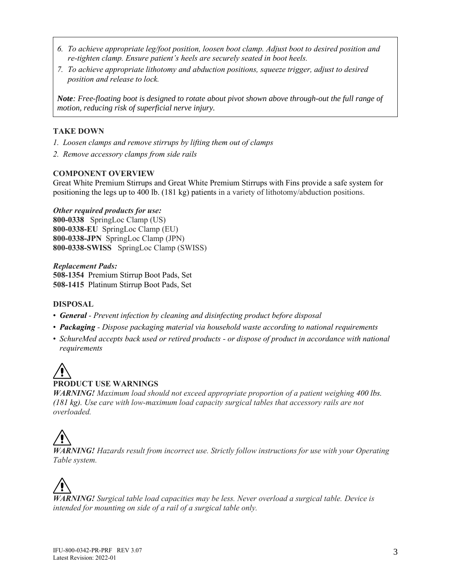- *6. To achieve appropriate leg/foot position, loosen boot clamp. Adjust boot to desired position and re-tighten clamp. Ensure patient's heels are securely seated in boot heels.*
- *7. To achieve appropriate lithotomy and abduction positions, squeeze trigger, adjust to desired position and release to lock.*

*Note: Free-floating boot is designed to rotate about pivot shown above through-out the full range of motion, reducing risk of superficial nerve injury.*

#### **TAKE DOWN**

- *1. Loosen clamps and remove stirrups by lifting them out of clamps*
- *2. Remove accessory clamps from side rails*

#### **COMPONENT OVERVIEW**

Great White Premium Stirrups and Great White Premium Stirrups with Fins provide a safe system for positioning the legs up to 400 lb. (181 kg) patients in a variety of lithotomy/abduction positions.

*Other required products for use:* **800-0338** SpringLoc Clamp (US) **800-0338-EU** SpringLoc Clamp (EU) **800-0338-JPN** SpringLoc Clamp (JPN) **800-0338-SWISS** SpringLoc Clamp (SWISS)

*Replacement Pads:* **508-1354** Premium Stirrup Boot Pads, Set **508-1415** Platinum Stirrup Boot Pads, Set

#### **DISPOSAL**

- *General - Prevent infection by cleaning and disinfecting product before disposal*
- *Packaging - Dispose packaging material via household waste according to national requirements*
- *SchureMed accepts back used or retired products - or dispose of product in accordance with national requirements*

# **PRODUCT USE WARNINGS**

*WARNING! Maximum load should not exceed appropriate proportion of a patient weighing 400 lbs. (181 kg). Use care with low-maximum load capacity surgical tables that accessory rails are not overloaded.* 

*WARNING! Hazards result from incorrect use. Strictly follow instructions for use with your Operating Table system.*

*WARNING! Surgical table load capacities may be less. Never overload a surgical table. Device is intended for mounting on side of a rail of a surgical table only.*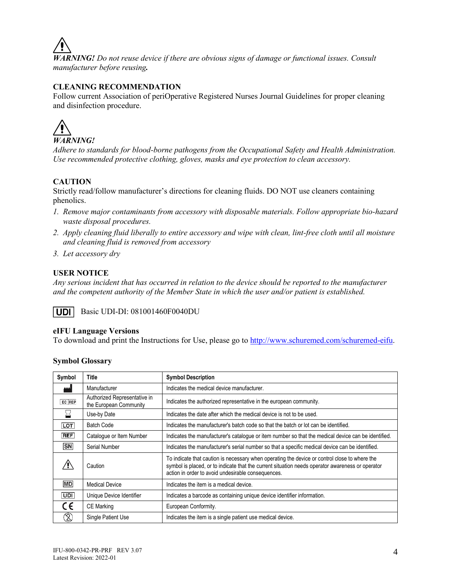*WARNING! Do not reuse device if there are obvious signs of damage or functional issues. Consult manufacturer before reusing.*

#### **CLEANING RECOMMENDATION**

Follow current Association of periOperative Registered Nurses Journal Guidelines for proper cleaning and disinfection procedure.



*Adhere to standards for blood-borne pathogens from the Occupational Safety and Health Administration. Use recommended protective clothing, gloves, masks and eye protection to clean accessory.*

#### **CAUTION**

Strictly read/follow manufacturer's directions for cleaning fluids. DO NOT use cleaners containing phenolics.

- *1. Remove major contaminants from accessory with disposable materials. Follow appropriate bio-hazard waste disposal procedures.*
- *2. Apply cleaning fluid liberally to entire accessory and wipe with clean, lint-free cloth until all moisture and cleaning fluid is removed from accessory*
- *3. Let accessory dry*

#### **USER NOTICE**

*Any serious incident that has occurred in relation to the device should be reported to the manufacturer and the competent authority of the Member State in which the user and/or patient is established.*

I UDI I Basic UDI-DI: 081001460F0040DU

#### **eIFU Language Versions**

To download and print the Instructions for Use, please go to [http://www.schuremed.com/schuremed-eifu.](http://www.schuremed.com/schuremed-eifu)

#### **Symbol Glossary**

| Symbol     | Title                                                  | <b>Symbol Description</b>                                                                                                                                                                                                                               |
|------------|--------------------------------------------------------|---------------------------------------------------------------------------------------------------------------------------------------------------------------------------------------------------------------------------------------------------------|
|            | Manufacturer                                           | Indicates the medical device manufacturer.                                                                                                                                                                                                              |
| EC REP     | Authorized Representative in<br>the European Community | Indicates the authorized representative in the european community.                                                                                                                                                                                      |
|            | Use-by Date                                            | Indicates the date after which the medical device is not to be used.                                                                                                                                                                                    |
| <b>LOT</b> | <b>Batch Code</b>                                      | Indicates the manufacturer's batch code so that the batch or lot can be identified.                                                                                                                                                                     |
| <b>REF</b> | Catalogue or Item Number                               | Indicates the manufacturer's catalogue or item number so that the medical device can be identified.                                                                                                                                                     |
| <b>SN</b>  | Serial Number                                          | Indicates the manufacturer's serial number so that a specific medical device can be identified.                                                                                                                                                         |
|            | Caution                                                | To indicate that caution is necessary when operating the device or control close to where the<br>symbol is placed, or to indicate that the current situation needs operator awareness or operator<br>action in order to avoid undesirable consequences. |
| <b>MD</b>  | <b>Medical Device</b>                                  | Indicates the item is a medical device.                                                                                                                                                                                                                 |
| UDI        | Unique Device Identifier                               | Indicates a barcode as containing unique device identifier information.                                                                                                                                                                                 |
| C€         | <b>CE Marking</b>                                      | European Conformity.                                                                                                                                                                                                                                    |
| X)         | <b>Single Patient Use</b>                              | Indicates the item is a single patient use medical device.                                                                                                                                                                                              |